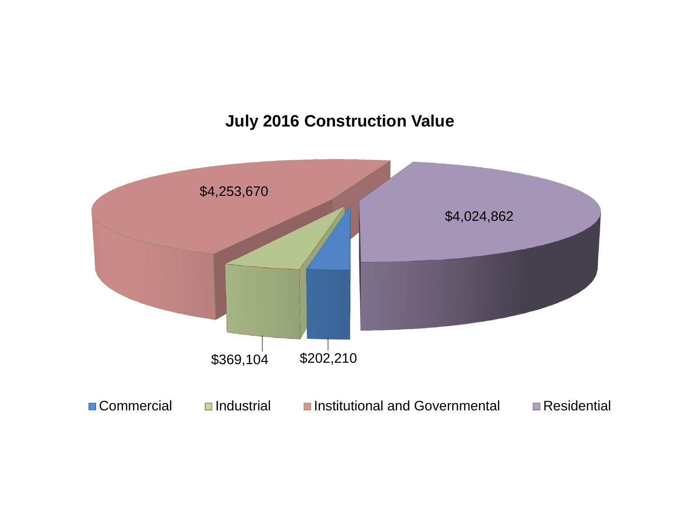# **July 2016 Construction Value**

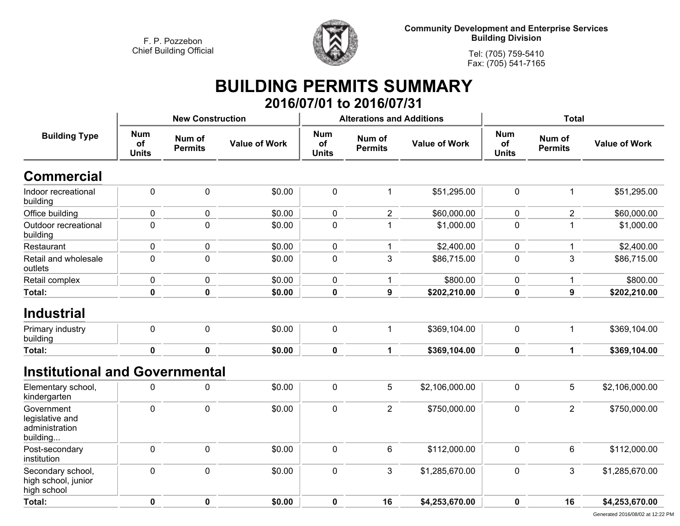

**Community Development and Enterprise Services Building Division**

**Tel: (705) 759-5410Fax: (705) 541-7165**

### **BUILDING PERMITS SUMMARY 2016/07/01 to 2016/07/31**

| <b>Building Type</b>                                        |                                  | <b>New Construction</b>  |                      |                                  | <b>Alterations and Additions</b> |                      | <b>Total</b>                     |                          |                      |
|-------------------------------------------------------------|----------------------------------|--------------------------|----------------------|----------------------------------|----------------------------------|----------------------|----------------------------------|--------------------------|----------------------|
|                                                             | <b>Num</b><br>of<br><b>Units</b> | Num of<br><b>Permits</b> | <b>Value of Work</b> | <b>Num</b><br>of<br><b>Units</b> | Num of<br><b>Permits</b>         | <b>Value of Work</b> | <b>Num</b><br>of<br><b>Units</b> | Num of<br><b>Permits</b> | <b>Value of Work</b> |
| <b>Commercial</b>                                           |                                  |                          |                      |                                  |                                  |                      |                                  |                          |                      |
| Indoor recreational<br>building                             | $\pmb{0}$                        | $\pmb{0}$                | \$0.00               | $\pmb{0}$                        | $\mathbf 1$                      | \$51,295.00          | $\pmb{0}$                        | $\mathbf{1}$             | \$51,295.00          |
| Office building                                             | 0                                | 0                        | \$0.00               | $\pmb{0}$                        | $\overline{2}$                   | \$60,000.00          | 0                                | $\overline{2}$           | \$60,000.00          |
| Outdoor recreational<br>building                            | 0                                | $\mathbf 0$              | \$0.00               | $\mathbf 0$                      | 1                                | \$1,000.00           | $\mathbf 0$                      | 1                        | \$1,000.00           |
| Restaurant                                                  | 0                                | 0                        | \$0.00               | $\pmb{0}$                        | $\mathbf{1}$                     | \$2,400.00           | $\pmb{0}$                        | $\mathbf{1}$             | \$2,400.00           |
| Retail and wholesale<br>outlets                             | $\mathbf 0$                      | $\overline{0}$           | \$0.00               | $\mathbf 0$                      | 3                                | \$86,715.00          | 0                                | 3                        | \$86,715.00          |
| Retail complex                                              | 0                                | 0                        | \$0.00               | 0                                | 1                                | \$800.00             | $\mathbf 0$                      | 1                        | \$800.00             |
| Total:                                                      | $\pmb{0}$                        | $\mathbf 0$              | \$0.00               | $\pmb{0}$                        | $\boldsymbol{9}$                 | \$202,210.00         | $\pmb{0}$                        | $\boldsymbol{9}$         | \$202,210.00         |
| <b>Industrial</b>                                           |                                  |                          |                      |                                  |                                  |                      |                                  |                          |                      |
| Primary industry<br>building                                | 0                                | $\mathbf 0$              | \$0.00               | $\mathbf 0$                      | $\mathbf{1}$                     | \$369,104.00         | $\mathbf 0$                      | $\mathbf{1}$             | \$369,104.00         |
| Total:                                                      | $\mathbf 0$                      | $\mathbf 0$              | \$0.00               | $\mathbf 0$                      | $\mathbf{1}$                     | \$369,104.00         | $\mathbf 0$                      | $\mathbf{1}$             | \$369,104.00         |
| <b>Institutional and Governmental</b>                       |                                  |                          |                      |                                  |                                  |                      |                                  |                          |                      |
| Elementary school,<br>kindergarten                          | 0                                | $\mathbf 0$              | \$0.00               | $\mathbf 0$                      | 5                                | \$2,106,000.00       | $\mathbf 0$                      | 5                        | \$2,106,000.00       |
| Government<br>legislative and<br>administration<br>building | 0                                | $\mathbf 0$              | \$0.00               | $\pmb{0}$                        | $\overline{2}$                   | \$750,000.00         | $\pmb{0}$                        | $\overline{2}$           | \$750,000.00         |
| Post-secondary<br>institution                               | 0                                | $\mathbf 0$              | \$0.00               | $\mathbf 0$                      | 6                                | \$112,000.00         | $\mathbf 0$                      | 6                        | \$112,000.00         |
| Secondary school,<br>high school, junior<br>high school     | 0                                | $\mathbf 0$              | \$0.00               | $\mathbf 0$                      | 3                                | \$1,285,670.00       | $\mathbf 0$                      | 3                        | \$1,285,670.00       |
| Total:                                                      | $\mathbf 0$                      | $\mathbf 0$              | \$0.00               | $\mathbf 0$                      | 16                               | \$4,253,670.00       | $\mathbf 0$                      | 16                       | \$4,253,670.00       |
|                                                             |                                  |                          |                      |                                  |                                  |                      |                                  |                          |                      |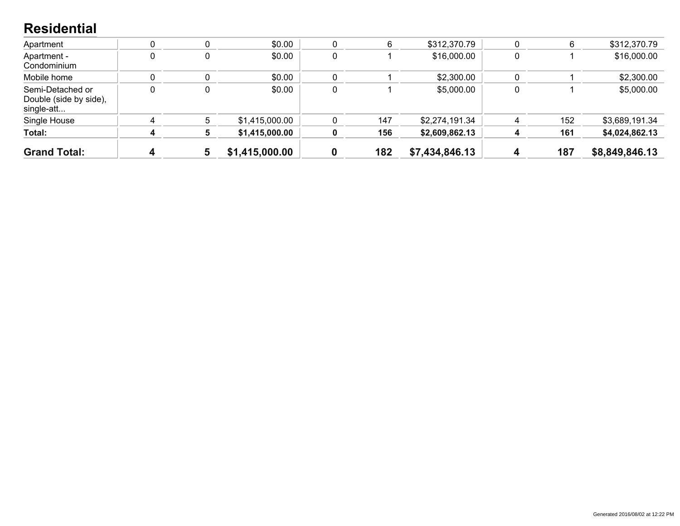#### **Residential**

| <b>Grand Total:</b>                                      | 4 | 5 | \$1,415,000.00 |   | 182 | \$7,434,846.13 | 187 | \$8,849,846.13 |
|----------------------------------------------------------|---|---|----------------|---|-----|----------------|-----|----------------|
| Total:                                                   |   |   | \$1,415,000.00 |   | 156 | \$2,609,862.13 | 161 | \$4,024,862.13 |
| Single House                                             |   | 5 | \$1,415,000.00 |   | 147 | \$2,274,191.34 | 152 | \$3,689,191.34 |
| Semi-Detached or<br>Double (side by side),<br>single-att |   |   | \$0.00         | 0 |     | \$5,000.00     |     | \$5,000.00     |
| Mobile home                                              |   | 0 | \$0.00         |   |     | \$2,300.00     |     | \$2,300.00     |
| Apartment -<br>Condominium                               |   | 0 | \$0.00         | 0 |     | \$16,000.00    |     | \$16,000.00    |
| Apartment                                                |   |   | \$0.00         |   |     | \$312,370.79   |     | \$312,370.79   |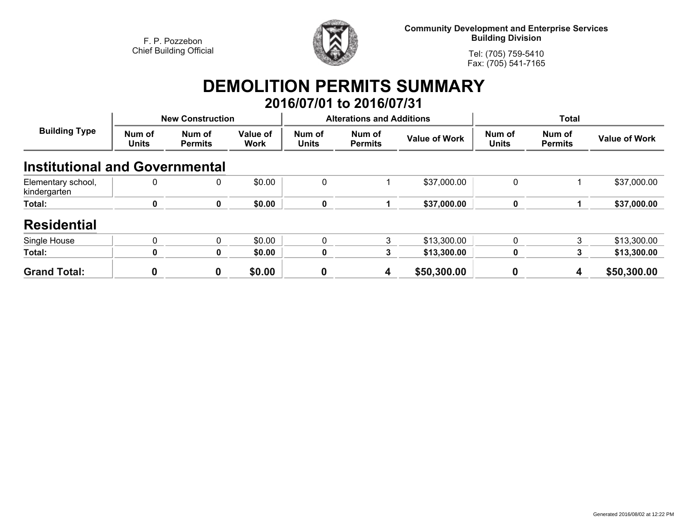

**Community Development and Enterprise Services Building Division**

**Tel: (705) 759-5410Fax: (705) 541-7165**

## **DEMOLITION PERMITS SUMMARY 2016/07/01 to 2016/07/31**

| <b>Building Type</b>                  | <b>New Construction</b> |                          |                         |                        | <b>Alterations and Additions</b> |                      | <b>Total</b>           |                          |                      |
|---------------------------------------|-------------------------|--------------------------|-------------------------|------------------------|----------------------------------|----------------------|------------------------|--------------------------|----------------------|
|                                       | Num of<br><b>Units</b>  | Num of<br><b>Permits</b> | Value of<br><b>Work</b> | Num of<br><b>Units</b> | Num of<br><b>Permits</b>         | <b>Value of Work</b> | Num of<br><b>Units</b> | Num of<br><b>Permits</b> | <b>Value of Work</b> |
| <b>Institutional and Governmental</b> |                         |                          |                         |                        |                                  |                      |                        |                          |                      |
| Elementary school,<br>kindergarten    | 0                       | 0                        | \$0.00                  | 0                      |                                  | \$37,000.00          | $\mathbf{0}$           |                          | \$37,000.00          |
| Total:                                | $\bf{0}$                | 0                        | \$0.00                  | 0                      |                                  | \$37,000.00          | $\mathbf 0$            |                          | \$37,000.00          |
| <b>Residential</b>                    |                         |                          |                         |                        |                                  |                      |                        |                          |                      |
| Single House                          | $\Omega$                | $\mathbf{0}$             | \$0.00                  | 0                      | 3                                | \$13,300.00          | $\mathbf{0}$           | 3                        | \$13,300.00          |
| Total:                                | 0                       | 0                        | \$0.00                  | 0                      | 3                                | \$13,300.00          | $\bf{0}$               | 3                        | \$13,300.00          |
| <b>Grand Total:</b>                   | 0                       | 0                        | \$0.00                  | 0                      | 4                                | \$50,300.00          | 0                      | 4                        | \$50,300.00          |